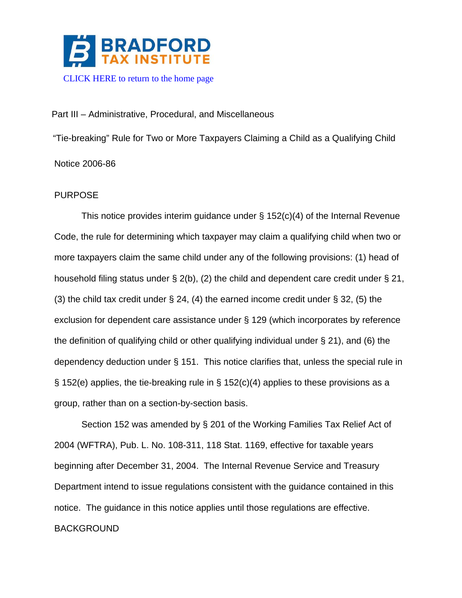

Part III – Administrative, Procedural, and Miscellaneous

"Tie-breaking" Rule for Two or More Taxpayers Claiming a Child as a Qualifying Child Notice 2006-86

# PURPOSE

This notice provides interim guidance under § 152(c)(4) of the Internal Revenue Code, the rule for determining which taxpayer may claim a qualifying child when two or more taxpayers claim the same child under any of the following provisions: (1) head of household filing status under § 2(b), (2) the child and dependent care credit under § 21, (3) the child tax credit under  $\S$  24, (4) the earned income credit under  $\S$  32, (5) the exclusion for dependent care assistance under § 129 (which incorporates by reference the definition of qualifying child or other qualifying individual under § 21), and (6) the dependency deduction under § 151. This notice clarifies that, unless the special rule in § 152(e) applies, the tie-breaking rule in § 152(c)(4) applies to these provisions as a group, rather than on a section-by-section basis.

Section 152 was amended by § 201 of the Working Families Tax Relief Act of 2004 (WFTRA), Pub. L. No. 108-311, 118 Stat. 1169, effective for taxable years beginning after December 31, 2004. The Internal Revenue Service and Treasury Department intend to issue regulations consistent with the guidance contained in this notice. The guidance in this notice applies until those regulations are effective. BACKGROUND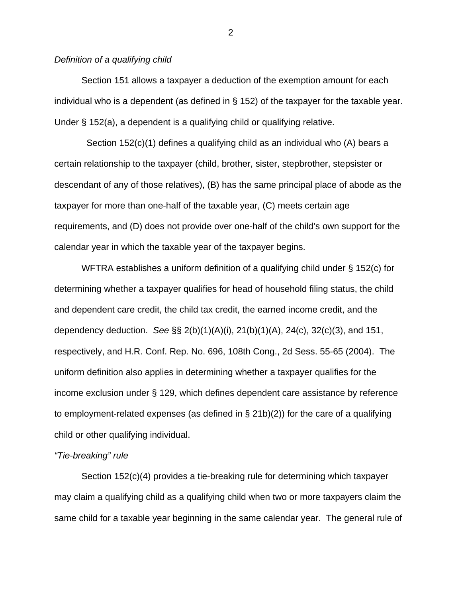### *Definition of a qualifying child*

Section 151 allows a taxpayer a deduction of the exemption amount for each individual who is a dependent (as defined in § 152) of the taxpayer for the taxable year. Under § 152(a), a dependent is a qualifying child or qualifying relative.

 Section 152(c)(1) defines a qualifying child as an individual who (A) bears a certain relationship to the taxpayer (child, brother, sister, stepbrother, stepsister or descendant of any of those relatives), (B) has the same principal place of abode as the taxpayer for more than one-half of the taxable year, (C) meets certain age requirements, and (D) does not provide over one-half of the child's own support for the calendar year in which the taxable year of the taxpayer begins.

 WFTRA establishes a uniform definition of a qualifying child under § 152(c) for determining whether a taxpayer qualifies for head of household filing status, the child and dependent care credit, the child tax credit, the earned income credit, and the dependency deduction. *See* §§ 2(b)(1)(A)(i), 21(b)(1)(A), 24(c), 32(c)(3), and 151, respectively, and H.R. Conf. Rep. No. 696, 108th Cong., 2d Sess. 55-65 (2004). The uniform definition also applies in determining whether a taxpayer qualifies for the income exclusion under § 129, which defines dependent care assistance by reference to employment-related expenses (as defined in § 21b)(2)) for the care of a qualifying child or other qualifying individual.

### *"Tie-breaking" rule*

 Section 152(c)(4) provides a tie-breaking rule for determining which taxpayer may claim a qualifying child as a qualifying child when two or more taxpayers claim the same child for a taxable year beginning in the same calendar year. The general rule of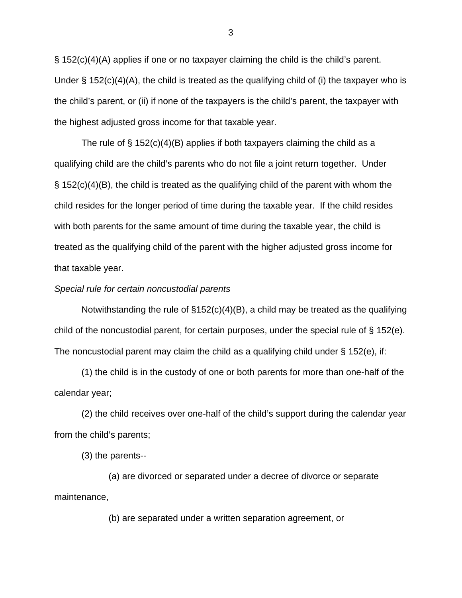§ 152(c)(4)(A) applies if one or no taxpayer claiming the child is the child's parent. Under  $\S$  152(c)(4)(A), the child is treated as the qualifying child of (i) the taxpayer who is the child's parent, or (ii) if none of the taxpayers is the child's parent, the taxpayer with the highest adjusted gross income for that taxable year.

The rule of  $\S$  152(c)(4)(B) applies if both taxpayers claiming the child as a qualifying child are the child's parents who do not file a joint return together. Under  $\S$  152(c)(4)(B), the child is treated as the qualifying child of the parent with whom the child resides for the longer period of time during the taxable year. If the child resides with both parents for the same amount of time during the taxable year, the child is treated as the qualifying child of the parent with the higher adjusted gross income for that taxable year.

#### *Special rule for certain noncustodial parents*

Notwithstanding the rule of  $\S152(c)(4)(B)$ , a child may be treated as the qualifying child of the noncustodial parent, for certain purposes, under the special rule of § 152(e). The noncustodial parent may claim the child as a qualifying child under § 152(e), if:

 (1) the child is in the custody of one or both parents for more than one-half of the calendar year;

 (2) the child receives over one-half of the child's support during the calendar year from the child's parents;

(3) the parents--

 (a) are divorced or separated under a decree of divorce or separate maintenance,

(b) are separated under a written separation agreement, or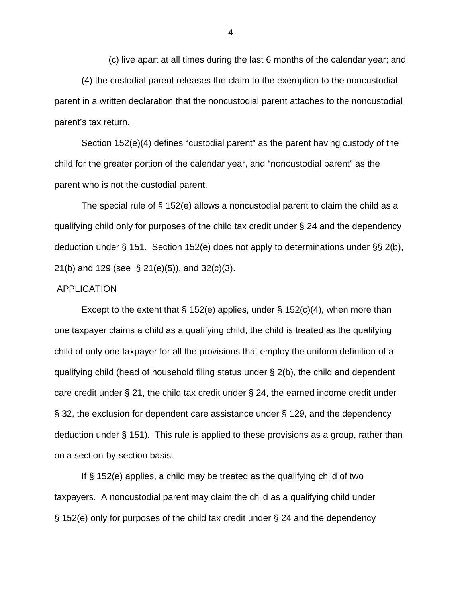(c) live apart at all times during the last 6 months of the calendar year; and (4) the custodial parent releases the claim to the exemption to the noncustodial parent in a written declaration that the noncustodial parent attaches to the noncustodial parent's tax return.

 Section 152(e)(4) defines "custodial parent" as the parent having custody of the child for the greater portion of the calendar year, and "noncustodial parent" as the parent who is not the custodial parent.

 The special rule of § 152(e) allows a noncustodial parent to claim the child as a qualifying child only for purposes of the child tax credit under § 24 and the dependency deduction under § 151. Section 152(e) does not apply to determinations under §§ 2(b), 21(b) and 129 (see § 21(e)(5)), and 32(c)(3).

#### APPLICATION

Except to the extent that § 152(e) applies, under § 152(c)(4), when more than one taxpayer claims a child as a qualifying child, the child is treated as the qualifying child of only one taxpayer for all the provisions that employ the uniform definition of a qualifying child (head of household filing status under § 2(b), the child and dependent care credit under § 21, the child tax credit under § 24, the earned income credit under § 32, the exclusion for dependent care assistance under § 129, and the dependency deduction under § 151). This rule is applied to these provisions as a group, rather than on a section-by-section basis.

If § 152(e) applies, a child may be treated as the qualifying child of two taxpayers. A noncustodial parent may claim the child as a qualifying child under § 152(e) only for purposes of the child tax credit under § 24 and the dependency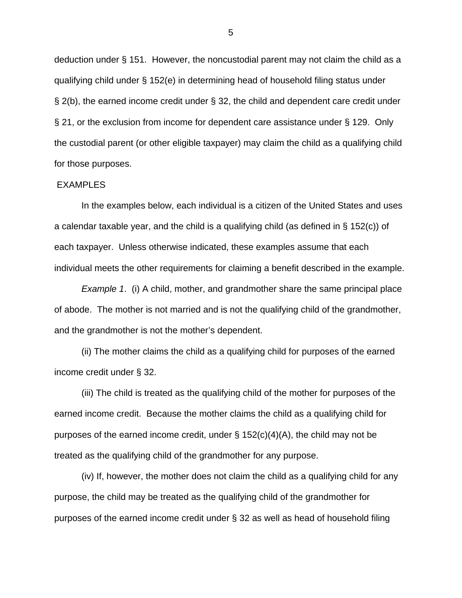deduction under § 151. However, the noncustodial parent may not claim the child as a qualifying child under § 152(e) in determining head of household filing status under § 2(b), the earned income credit under § 32, the child and dependent care credit under § 21, or the exclusion from income for dependent care assistance under § 129. Only the custodial parent (or other eligible taxpayer) may claim the child as a qualifying child for those purposes.

## EXAMPLES

 In the examples below, each individual is a citizen of the United States and uses a calendar taxable year, and the child is a qualifying child (as defined in § 152(c)) of each taxpayer. Unless otherwise indicated, these examples assume that each individual meets the other requirements for claiming a benefit described in the example.

*Example 1*. (i) A child, mother, and grandmother share the same principal place of abode. The mother is not married and is not the qualifying child of the grandmother, and the grandmother is not the mother's dependent.

(ii) The mother claims the child as a qualifying child for purposes of the earned income credit under § 32.

(iii) The child is treated as the qualifying child of the mother for purposes of the earned income credit. Because the mother claims the child as a qualifying child for purposes of the earned income credit, under  $\S 152(c)(4)(A)$ , the child may not be treated as the qualifying child of the grandmother for any purpose.

(iv) If, however, the mother does not claim the child as a qualifying child for any purpose, the child may be treated as the qualifying child of the grandmother for purposes of the earned income credit under § 32 as well as head of household filing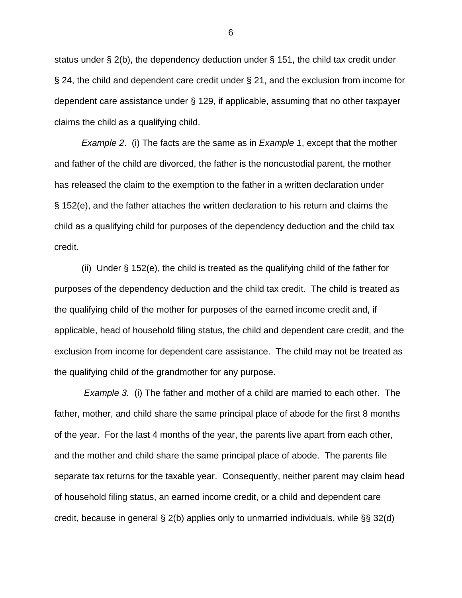status under § 2(b), the dependency deduction under § 151, the child tax credit under § 24, the child and dependent care credit under § 21, and the exclusion from income for dependent care assistance under § 129, if applicable, assuming that no other taxpayer claims the child as a qualifying child.

*Example 2*. (i) The facts are the same as in *Example 1*, except that the mother and father of the child are divorced, the father is the noncustodial parent, the mother has released the claim to the exemption to the father in a written declaration under § 152(e), and the father attaches the written declaration to his return and claims the child as a qualifying child for purposes of the dependency deduction and the child tax credit.

 (ii) Under § 152(e), the child is treated as the qualifying child of the father for purposes of the dependency deduction and the child tax credit. The child is treated as the qualifying child of the mother for purposes of the earned income credit and, if applicable, head of household filing status, the child and dependent care credit, and the exclusion from income for dependent care assistance. The child may not be treated as the qualifying child of the grandmother for any purpose.

 *Example 3.* (i) The father and mother of a child are married to each other. The father, mother, and child share the same principal place of abode for the first 8 months of the year. For the last 4 months of the year, the parents live apart from each other, and the mother and child share the same principal place of abode. The parents file separate tax returns for the taxable year. Consequently, neither parent may claim head of household filing status, an earned income credit, or a child and dependent care credit, because in general § 2(b) applies only to unmarried individuals, while §§ 32(d)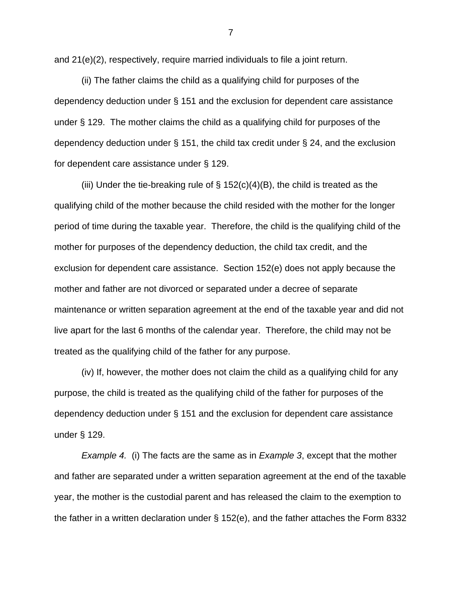and 21(e)(2), respectively, require married individuals to file a joint return.

(ii) The father claims the child as a qualifying child for purposes of the dependency deduction under § 151 and the exclusion for dependent care assistance under § 129. The mother claims the child as a qualifying child for purposes of the dependency deduction under § 151, the child tax credit under § 24, and the exclusion for dependent care assistance under § 129.

(iii) Under the tie-breaking rule of  $\S$  152(c)(4)(B), the child is treated as the qualifying child of the mother because the child resided with the mother for the longer period of time during the taxable year. Therefore, the child is the qualifying child of the mother for purposes of the dependency deduction, the child tax credit, and the exclusion for dependent care assistance. Section 152(e) does not apply because the mother and father are not divorced or separated under a decree of separate maintenance or written separation agreement at the end of the taxable year and did not live apart for the last 6 months of the calendar year. Therefore, the child may not be treated as the qualifying child of the father for any purpose.

 (iv) If, however, the mother does not claim the child as a qualifying child for any purpose, the child is treated as the qualifying child of the father for purposes of the dependency deduction under § 151 and the exclusion for dependent care assistance under § 129.

 *Example 4.* (i) The facts are the same as in *Example 3*, except that the mother and father are separated under a written separation agreement at the end of the taxable year, the mother is the custodial parent and has released the claim to the exemption to the father in a written declaration under § 152(e), and the father attaches the Form 8332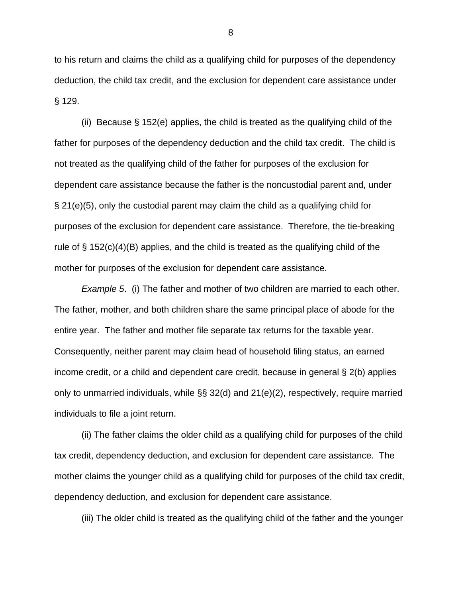to his return and claims the child as a qualifying child for purposes of the dependency deduction, the child tax credit, and the exclusion for dependent care assistance under § 129.

 (ii) Because § 152(e) applies, the child is treated as the qualifying child of the father for purposes of the dependency deduction and the child tax credit. The child is not treated as the qualifying child of the father for purposes of the exclusion for dependent care assistance because the father is the noncustodial parent and, under § 21(e)(5), only the custodial parent may claim the child as a qualifying child for purposes of the exclusion for dependent care assistance. Therefore, the tie-breaking rule of  $\S$  152(c)(4)(B) applies, and the child is treated as the qualifying child of the mother for purposes of the exclusion for dependent care assistance.

*Example 5*. (i) The father and mother of two children are married to each other. The father, mother, and both children share the same principal place of abode for the entire year. The father and mother file separate tax returns for the taxable year. Consequently, neither parent may claim head of household filing status, an earned income credit, or a child and dependent care credit, because in general § 2(b) applies only to unmarried individuals, while §§ 32(d) and 21(e)(2), respectively, require married individuals to file a joint return.

 (ii) The father claims the older child as a qualifying child for purposes of the child tax credit, dependency deduction, and exclusion for dependent care assistance. The mother claims the younger child as a qualifying child for purposes of the child tax credit, dependency deduction, and exclusion for dependent care assistance.

(iii) The older child is treated as the qualifying child of the father and the younger